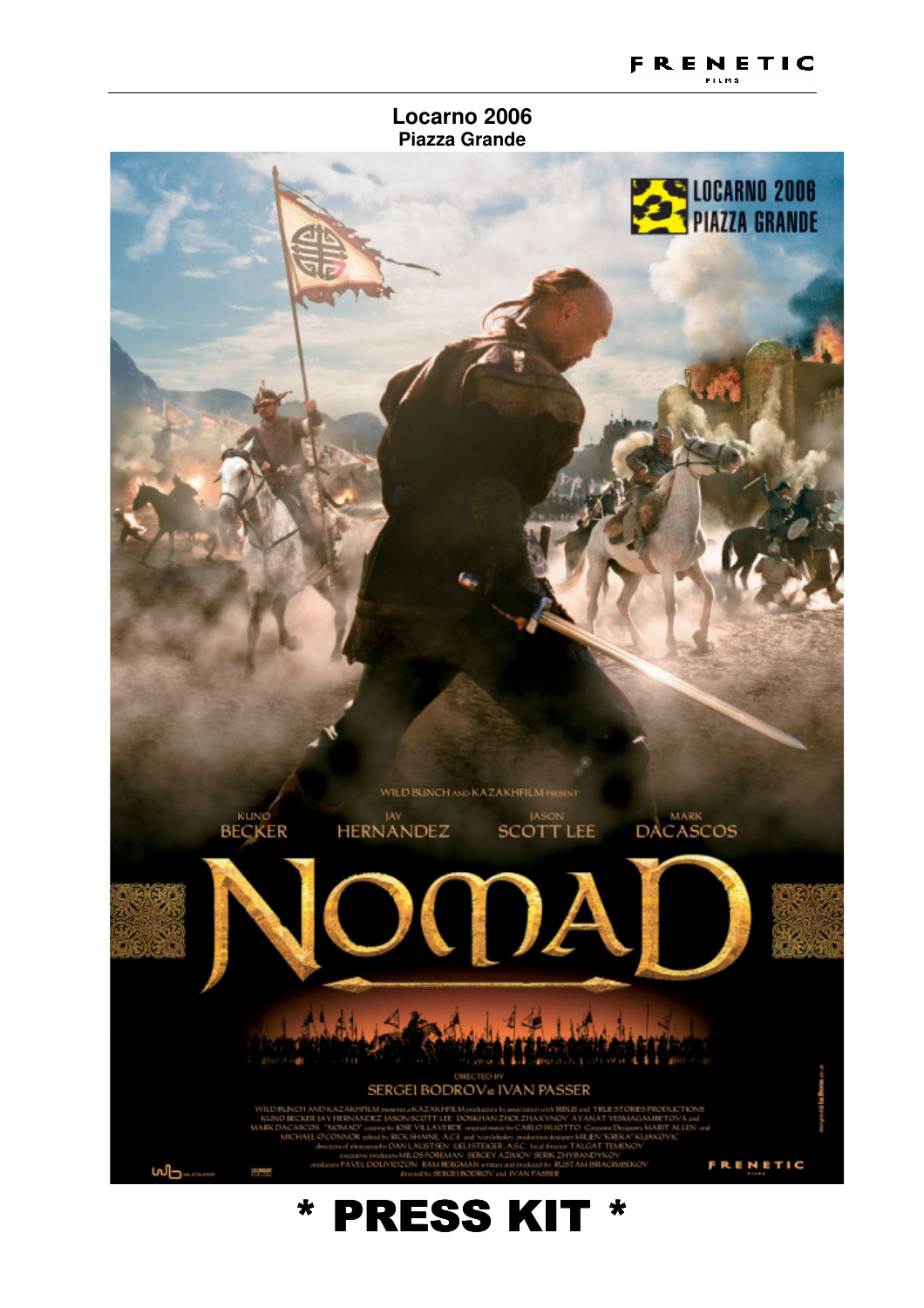#### **Locarno 2006 Piazza Grande**

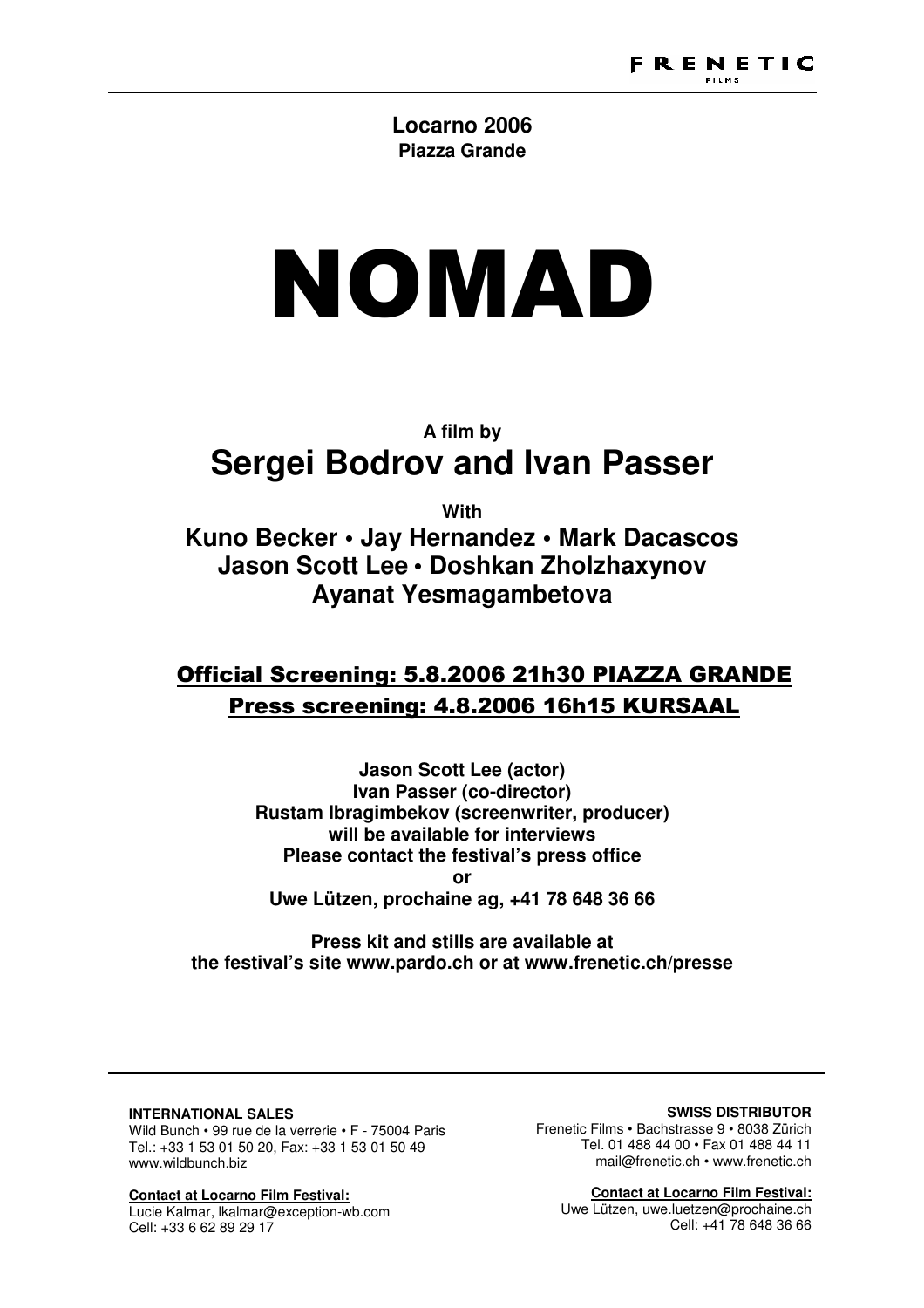## **Locarno 2006 Piazza Grande**

# NOMAD

# **A film by Sergei Bodrov and Ivan Passer**

**With** 

**Kuno Becker • Jay Hernandez • Mark Dacascos Jason Scott Lee • Doshkan Zholzhaxynov Ayanat Yesmagambetova** 

# Official Screening: 5.8.2006 21h30 PIAZZA GRANDE Press screening: 4.8.2006 16h15 KURSAAL

**Jason Scott Lee (actor) Ivan Passer (co-director) Rustam Ibragimbekov (screenwriter, producer) will be available for interviews Please contact the festival's press office or Uwe Lützen, prochaine ag, +41 78 648 36 66** 

**Press kit and stills are available at the festival's site www.pardo.ch or at www.frenetic.ch/presse** 

#### **INTERNATIONAL SALES**

Wild Bunch • 99 rue de la verrerie • F - 75004 Paris Tel.: +33 1 53 01 50 20, Fax: +33 1 53 01 50 49 www.wildbunch.biz

**Contact at Locarno Film Festival:** Lucie Kalmar, lkalmar@exception-wb.com Cell: +33 6 62 89 29 17

#### **SWISS DISTRIBUTOR**

Frenetic Films • Bachstrasse 9 • 8038 Zürich Tel. 01 488 44 00 • Fax 01 488 44 11 mail@frenetic.ch • www.frenetic.ch

**Contact at Locarno Film Festival:** Uwe Lützen, uwe.luetzen@prochaine.ch Cell: +41 78 648 36 66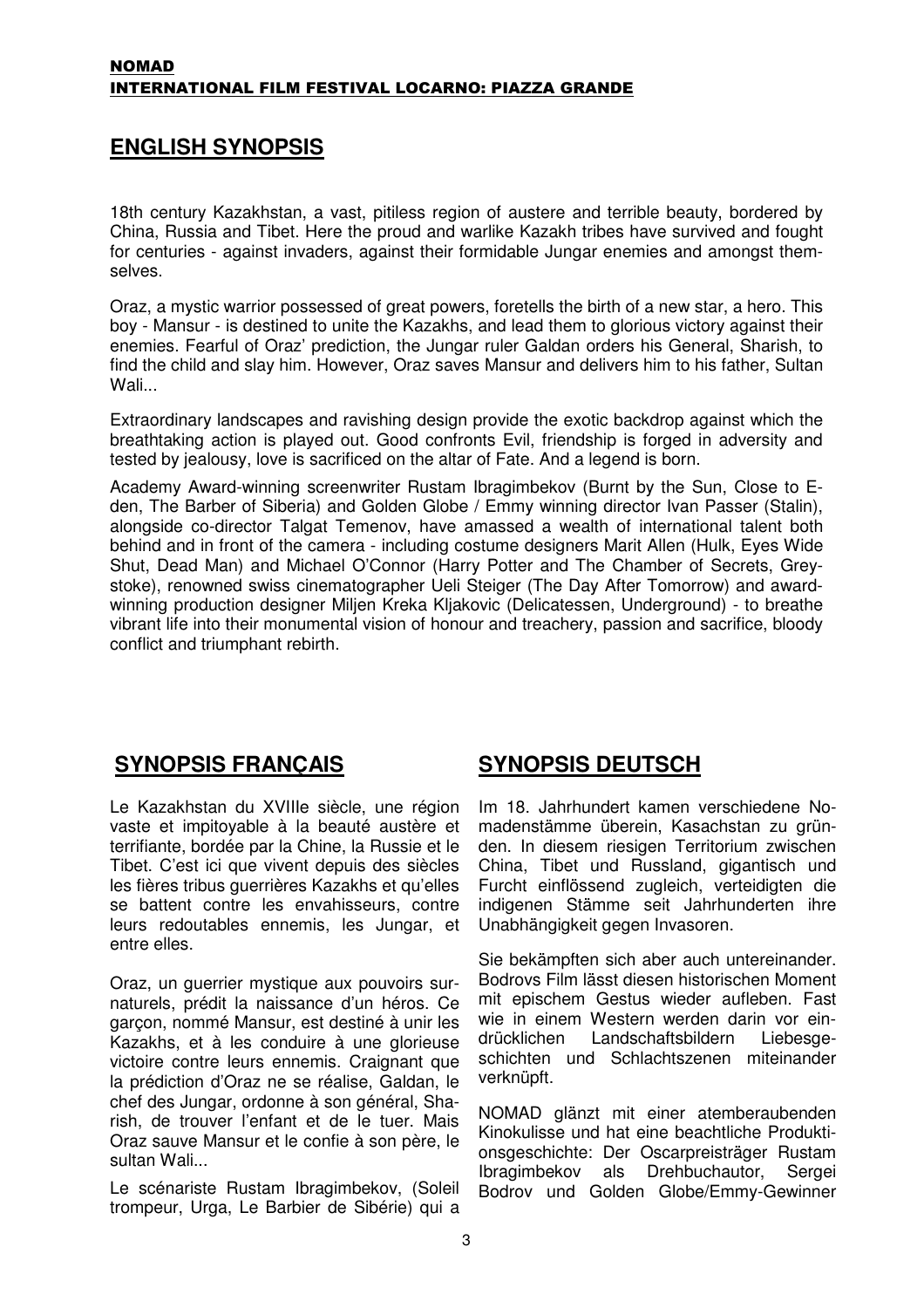## **ENGLISH SYNOPSIS**

18th century Kazakhstan, a vast, pitiless region of austere and terrible beauty, bordered by China, Russia and Tibet. Here the proud and warlike Kazakh tribes have survived and fought for centuries - against invaders, against their formidable Jungar enemies and amongst themselves.

Oraz, a mystic warrior possessed of great powers, foretells the birth of a new star, a hero. This boy - Mansur - is destined to unite the Kazakhs, and lead them to glorious victory against their enemies. Fearful of Oraz' prediction, the Jungar ruler Galdan orders his General, Sharish, to find the child and slay him. However, Oraz saves Mansur and delivers him to his father, Sultan Wali...

Extraordinary landscapes and ravishing design provide the exotic backdrop against which the breathtaking action is played out. Good confronts Evil, friendship is forged in adversity and tested by jealousy, love is sacrificed on the altar of Fate. And a legend is born.

Academy Award-winning screenwriter Rustam Ibragimbekov (Burnt by the Sun, Close to Eden, The Barber of Siberia) and Golden Globe / Emmy winning director Ivan Passer (Stalin), alongside co-director Talgat Temenov, have amassed a wealth of international talent both behind and in front of the camera - including costume designers Marit Allen (Hulk, Eyes Wide Shut, Dead Man) and Michael O'Connor (Harry Potter and The Chamber of Secrets, Greystoke), renowned swiss cinematographer Ueli Steiger (The Day After Tomorrow) and awardwinning production designer Miljen Kreka Kljakovic (Delicatessen, Underground) - to breathe vibrant life into their monumental vision of honour and treachery, passion and sacrifice, bloody conflict and triumphant rebirth.

## **SYNOPSIS FRANÇAIS**

Le Kazakhstan du XVIIIe siècle, une région vaste et impitoyable à la beauté austère et terrifiante, bordée par la Chine, la Russie et le Tibet. C'est ici que vivent depuis des siècles les fières tribus guerrières Kazakhs et qu'elles se battent contre les envahisseurs, contre leurs redoutables ennemis, les Jungar, et entre elles.

Oraz, un guerrier mystique aux pouvoirs surnaturels, prédit la naissance d'un héros. Ce garçon, nommé Mansur, est destiné à unir les Kazakhs, et à les conduire à une glorieuse victoire contre leurs ennemis. Craignant que la prédiction d'Oraz ne se réalise, Galdan, le chef des Jungar, ordonne à son général, Sharish, de trouver l'enfant et de le tuer. Mais Oraz sauve Mansur et le confie à son père, le sultan Wali...

Le scénariste Rustam Ibragimbekov, (Soleil trompeur, Urga, Le Barbier de Sibérie) qui a

## **SYNOPSIS DEUTSCH**

Im 18. Jahrhundert kamen verschiedene Nomadenstämme überein, Kasachstan zu gründen. In diesem riesigen Territorium zwischen China, Tibet und Russland, gigantisch und Furcht einflössend zugleich, verteidigten die indigenen Stämme seit Jahrhunderten ihre Unabhängigkeit gegen Invasoren.

Sie bekämpften sich aber auch untereinander. Bodrovs Film lässt diesen historischen Moment mit epischem Gestus wieder aufleben. Fast wie in einem Western werden darin vor eindrücklichen Landschaftsbildern Liebesgeschichten und Schlachtszenen miteinander verknüpft.

NOMAD glänzt mit einer atemberaubenden Kinokulisse und hat eine beachtliche Produktionsgeschichte: Der Oscarpreisträger Rustam Ibragimbekov als Drehbuchautor, Sergei Bodrov und Golden Globe/Emmy-Gewinner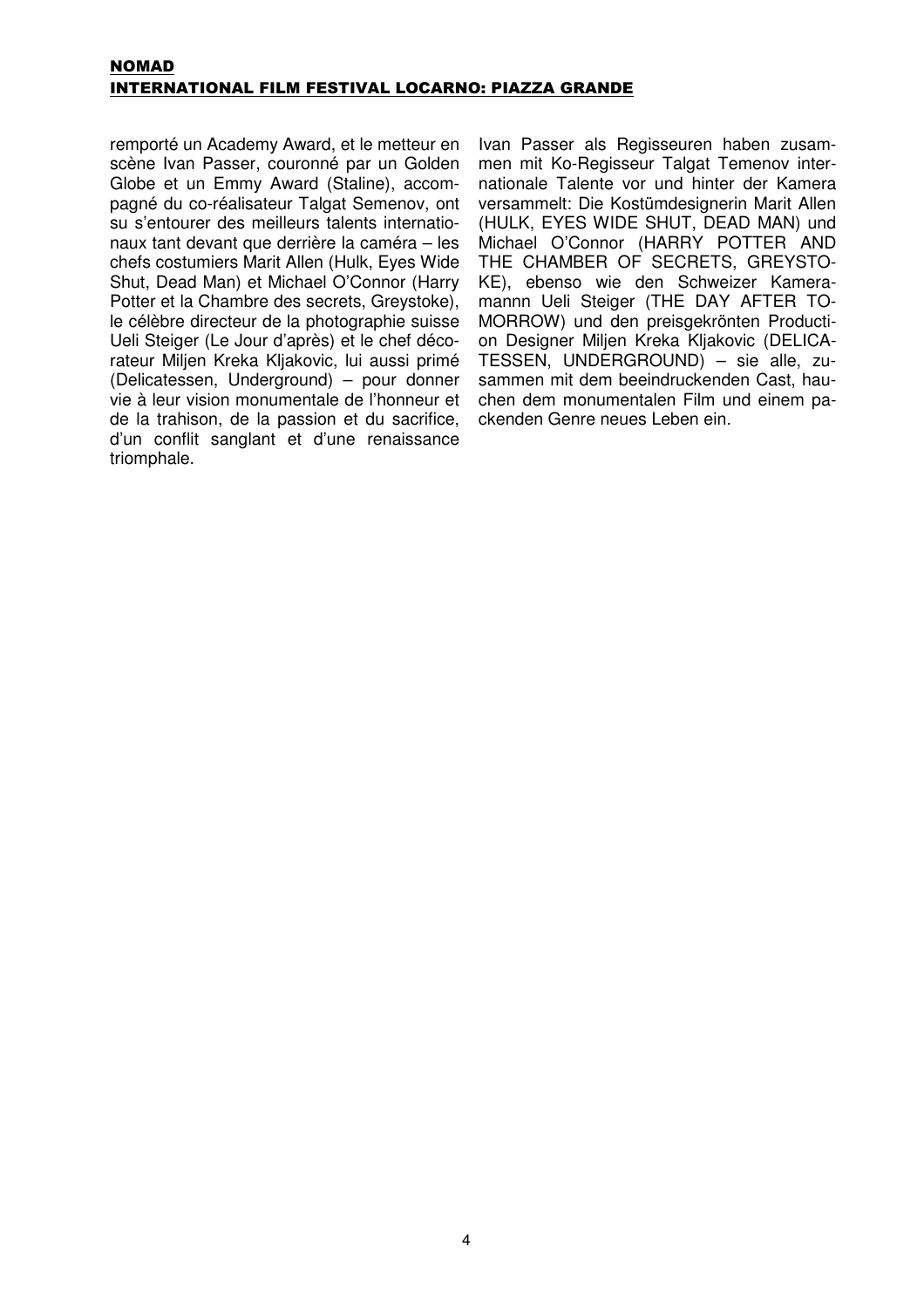#### NOMAD INTERNATIONAL FILM FESTIVAL LOCARNO: PIAZZA GRANDE

remporté un Academy Award, et le metteur en scène Ivan Passer, couronné par un Golden Globe et un Emmy Award (Staline), accompagné du co-réalisateur Talgat Semenov, ont su s'entourer des meilleurs talents internationaux tant devant que derrière la caméra – les chefs costumiers Marit Allen (Hulk, Eyes Wide Shut, Dead Man) et Michael O'Connor (Harry Potter et la Chambre des secrets, Greystoke), le célèbre directeur de la photographie suisse Ueli Steiger (Le Jour d'après) et le chef décorateur Miljen Kreka Kljakovic, lui aussi primé (Delicatessen, Underground) – pour donner vie à leur vision monumentale de l'honneur et de la trahison, de la passion et du sacrifice, d'un conflit sanglant et d'une renaissance triomphale.

Ivan Passer als Regisseuren haben zusammen mit Ko-Regisseur Talgat Temenov internationale Talente vor und hinter der Kamera versammelt: Die Kostümdesignerin Marit Allen (HULK, EYES WIDE SHUT, DEAD MAN) und Michael O'Connor (HARRY POTTER AND THE CHAMBER OF SECRETS, GREYSTO-KE), ebenso wie den Schweizer Kameramannn Ueli Steiger (THE DAY AFTER TO-MORROW) und den preisgekrönten Production Designer Miljen Kreka Kljakovic (DELICA-TESSEN, UNDERGROUND) – sie alle, zusammen mit dem beeindruckenden Cast, hauchen dem monumentalen Film und einem packenden Genre neues Leben ein.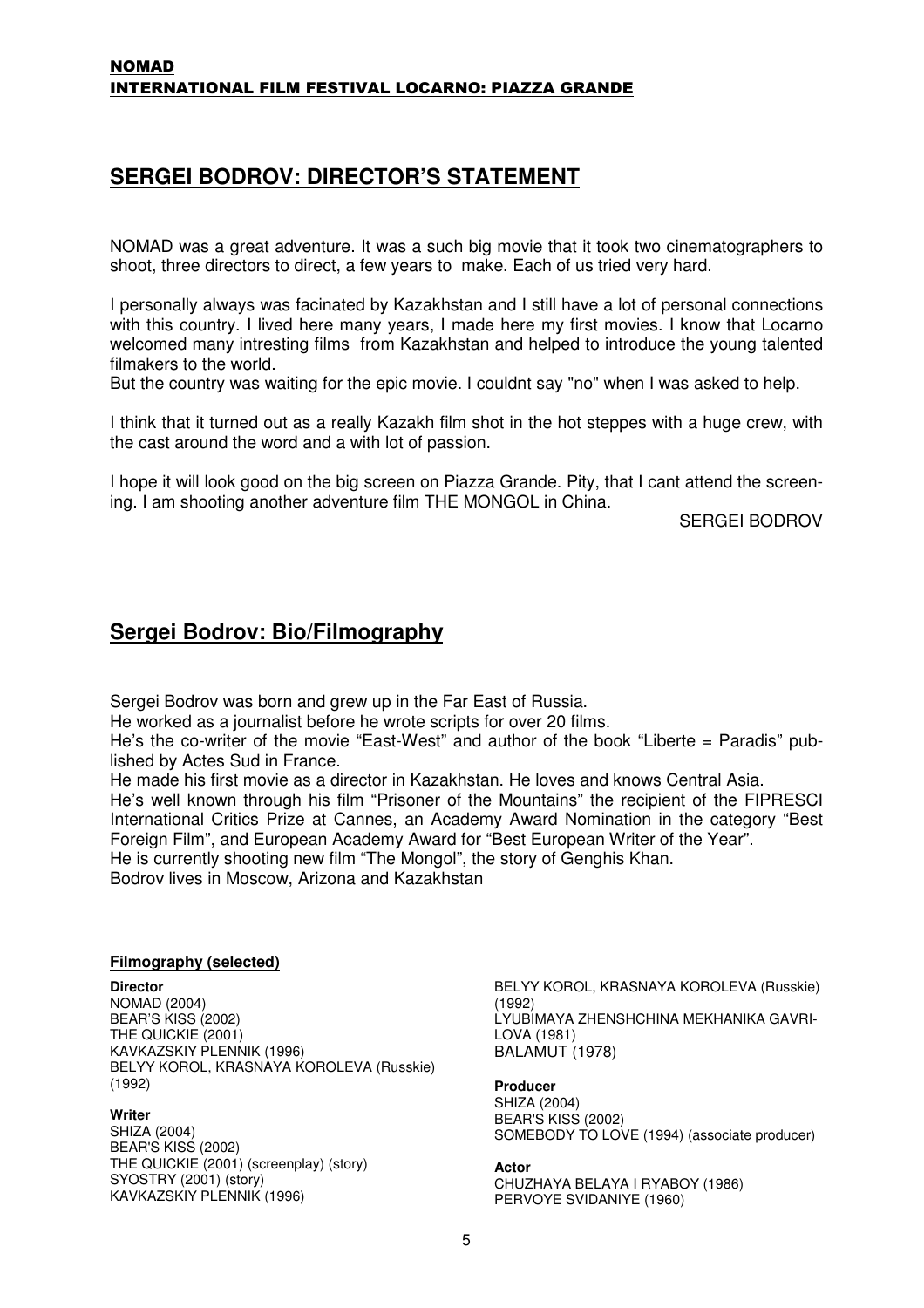## **SERGEI BODROV: DIRECTOR'S STATEMENT**

NOMAD was a great adventure. It was a such big movie that it took two cinematographers to shoot, three directors to direct, a few years to make. Each of us tried very hard.

I personally always was facinated by Kazakhstan and I still have a lot of personal connections with this country. I lived here many years, I made here my first movies. I know that Locarno welcomed many intresting films from Kazakhstan and helped to introduce the young talented filmakers to the world.

But the country was waiting for the epic movie. I couldnt say "no" when I was asked to help.

I think that it turned out as a really Kazakh film shot in the hot steppes with a huge crew, with the cast around the word and a with lot of passion.

I hope it will look good on the big screen on Piazza Grande. Pity, that I cant attend the screening. I am shooting another adventure film THE MONGOL in China.

SERGEI BODROV

## **Sergei Bodrov: Bio/Filmography**

Sergei Bodrov was born and grew up in the Far East of Russia.

He worked as a journalist before he wrote scripts for over 20 films.

He's the co-writer of the movie "East-West" and author of the book "Liberte = Paradis" published by Actes Sud in France.

He made his first movie as a director in Kazakhstan. He loves and knows Central Asia. He's well known through his film "Prisoner of the Mountains" the recipient of the FIPRESCI International Critics Prize at Cannes, an Academy Award Nomination in the category "Best Foreign Film", and European Academy Award for "Best European Writer of the Year". He is currently shooting new film "The Mongol", the story of Genghis Khan. Bodrov lives in Moscow, Arizona and Kazakhstan

#### **Filmography (selected)**

#### **Director**

NOMAD (2004) BEAR'S KISS (2002) THE QUICKIE (2001) KAVKAZSKIY PLENNIK (1996) BELYY KOROL, KRASNAYA KOROLEVA (Russkie) (1992)

#### **Writer**

SHIZA (2004) BEAR'S KISS (2002) THE QUICKIE (2001) (screenplay) (story) SYOSTRY (2001) (story) KAVKAZSKIY PLENNIK (1996)

BELYY KOROL, KRASNAYA KOROLEVA (Russkie) (1992) LYUBIMAYA ZHENSHCHINA MEKHANIKA GAVRI-LOVA (1981) BALAMUT (1978)

**Producer**  SHIZA (2004) BEAR'S KISS (2002) SOMEBODY TO LOVE (1994) (associate producer)

#### **Actor**

CHUZHAYA BELAYA I RYABOY (1986) PERVOYE SVIDANIYE (1960)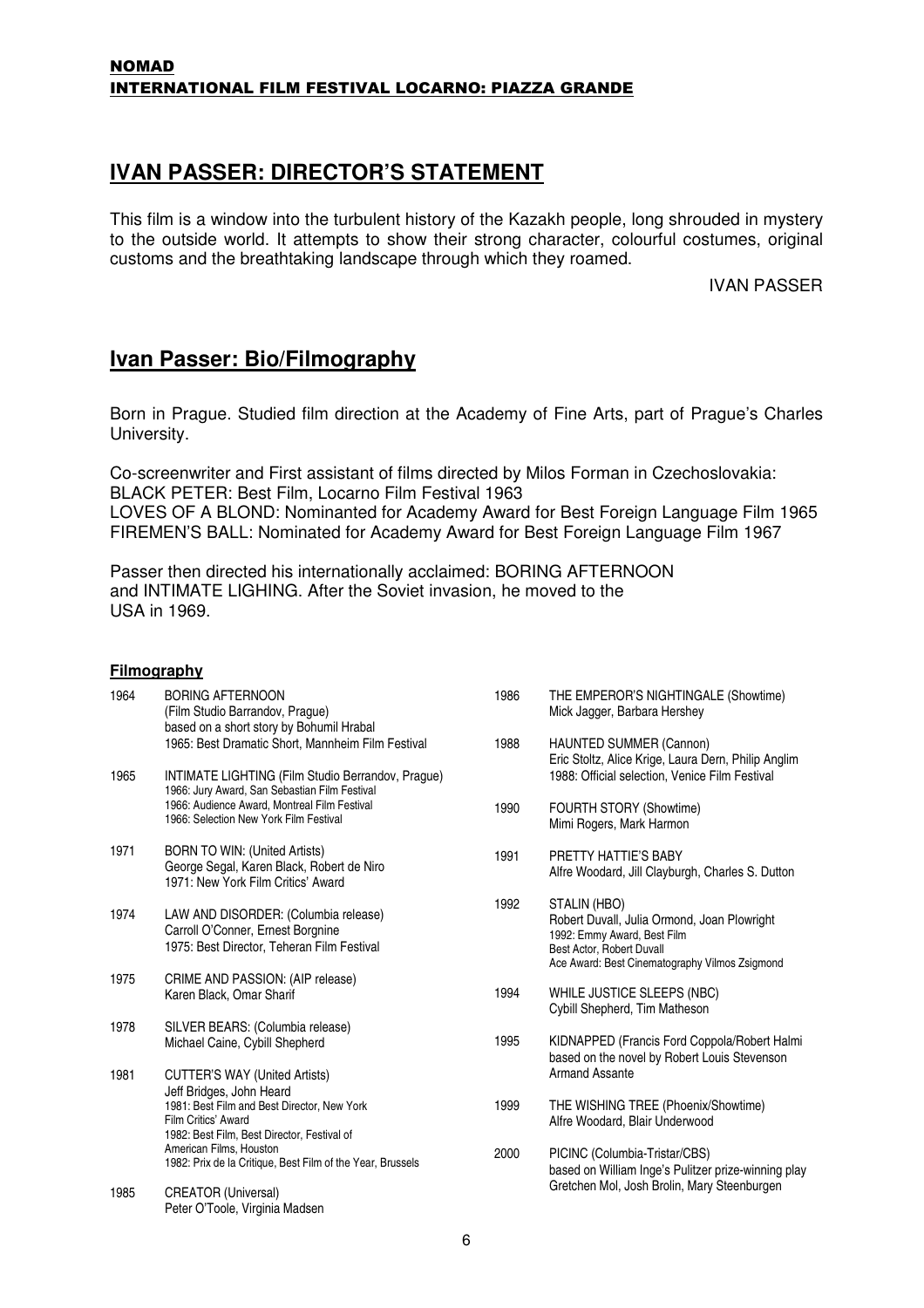### **IVAN PASSER: DIRECTOR'S STATEMENT**

This film is a window into the turbulent history of the Kazakh people, long shrouded in mystery to the outside world. It attempts to show their strong character, colourful costumes, original customs and the breathtaking landscape through which they roamed.

IVAN PASSER

## **Ivan Passer: Bio/Filmography**

Born in Prague. Studied film direction at the Academy of Fine Arts, part of Prague's Charles University.

Co-screenwriter and First assistant of films directed by Milos Forman in Czechoslovakia: BLACK PETER: Best Film, Locarno Film Festival 1963 LOVES OF A BLOND: Nominanted for Academy Award for Best Foreign Language Film 1965 FIREMEN'S BALL: Nominated for Academy Award for Best Foreign Language Film 1967

Passer then directed his internationally acclaimed: BORING AFTERNOON and INTIMATE LIGHING. After the Soviet invasion, he moved to the USA in 1969.

#### **Filmography**

| 1964 | <b>BORING AFTERNOON</b><br>(Film Studio Barrandov, Prague)<br>based on a short story by Bohumil Hrabal<br>1965: Best Dramatic Short, Mannheim Film Festival                                                                                                                    | 1986<br>1988 |
|------|--------------------------------------------------------------------------------------------------------------------------------------------------------------------------------------------------------------------------------------------------------------------------------|--------------|
| 1965 | INTIMATE LIGHTING (Film Studio Berrandov, Prague)<br>1966: Jury Award, San Sebastian Film Festival<br>1966: Audience Award, Montreal Film Festival<br>1966: Selection New York Film Festival                                                                                   | 1990         |
| 1971 | <b>BORN TO WIN: (United Artists)</b><br>George Segal, Karen Black, Robert de Niro<br>1971: New York Film Critics' Award                                                                                                                                                        | 1991         |
| 1974 | LAW AND DISORDER: (Columbia release)<br>Carroll O'Conner, Ernest Borgnine<br>1975: Best Director, Teheran Film Festival                                                                                                                                                        | 1992         |
| 1975 | CRIME AND PASSION: (AIP release)<br>Karen Black, Omar Sharif                                                                                                                                                                                                                   | 1994         |
| 1978 | SILVER BEARS: (Columbia release)<br>Michael Caine, Cybill Shepherd                                                                                                                                                                                                             | 1995         |
| 1981 | <b>CUTTER'S WAY (United Artists)</b><br>Jeff Bridges, John Heard<br>1981: Best Film and Best Director, New York<br>Film Critics' Award<br>1982: Best Film, Best Director, Festival of<br>American Films, Houston<br>1982: Prix de la Critique, Best Film of the Year, Brussels | 1999<br>2000 |
| 1985 | <b>CREATOR (Universal)</b><br>Peter O'Toole, Virginia Madsen                                                                                                                                                                                                                   |              |

- THE EMPEROR'S NIGHTINGALE (Showtime) Mick Jagger, Barbara Hershey
- HAUNTED SUMMER (Cannon) Eric Stoltz, Alice Krige, Laura Dern, Philip Anglim 1988: Official selection, Venice Film Festival
- FOURTH STORY (Showtime) Mimi Rogers, Mark Harmon
- PRETTY HATTIE'S BABY Alfre Woodard, Jill Clayburgh, Charles S. Dutton
- STALIN (HBO) Robert Duvall, Julia Ormond, Joan Plowright 1992: Emmy Award, Best Film Best Actor, Robert Duvall Ace Award: Best Cinematography Vilmos Zsigmond
- WHILE JUSTICE SLEEPS (NBC) Cybill Shepherd, Tim Matheson
- KIDNAPPED (Francis Ford Coppola/Robert Halmi based on the novel by Robert Louis Stevenson Armand Assante
- THE WISHING TREE (Phoenix/Showtime) Alfre Woodard, Blair Underwood
- PICINC (Columbia-Tristar/CBS) based on William Inge's Pulitzer prize-winning play Gretchen Mol, Josh Brolin, Mary Steenburgen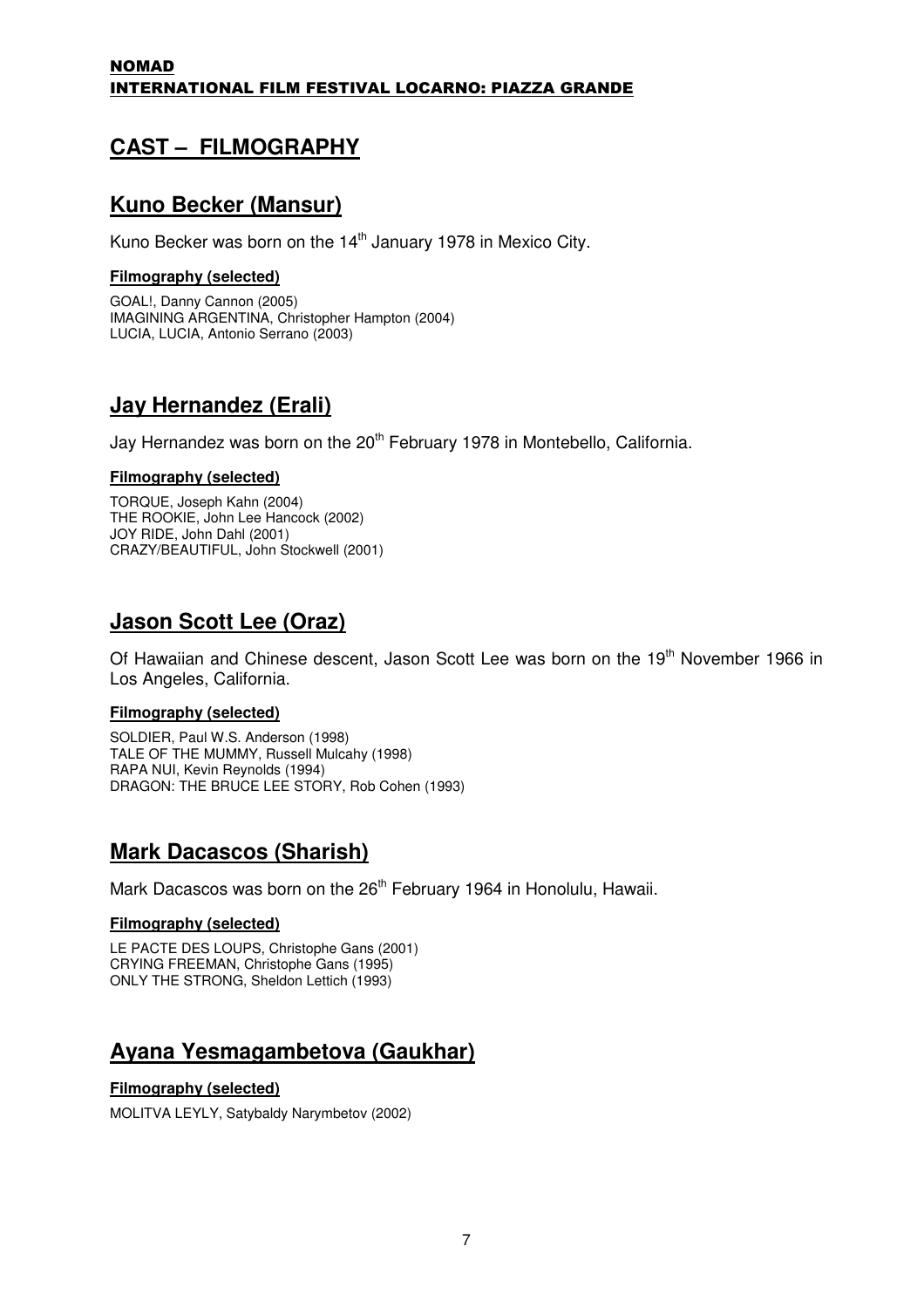## **CAST – FILMOGRAPHY**

## **Kuno Becker (Mansur)**

Kuno Becker was born on the  $14<sup>th</sup>$  January 1978 in Mexico City.

#### **Filmography (selected)**

GOAL!, Danny Cannon (2005) IMAGINING ARGENTINA, Christopher Hampton (2004) LUCIA, LUCIA, Antonio Serrano (2003)

## **Jay Hernandez (Erali)**

Jay Hernandez was born on the 20<sup>th</sup> February 1978 in Montebello, California.

#### **Filmography (selected)**

TORQUE, Joseph Kahn (2004) THE ROOKIE, John Lee Hancock (2002) JOY RIDE, John Dahl (2001) CRAZY/BEAUTIFUL, John Stockwell (2001)

## **Jason Scott Lee (Oraz)**

Of Hawaiian and Chinese descent, Jason Scott Lee was born on the 19<sup>th</sup> November 1966 in Los Angeles, California.

#### **Filmography (selected)**

SOLDIER, Paul W.S. Anderson (1998) TALE OF THE MUMMY, Russell Mulcahy (1998) RAPA NUI, Kevin Reynolds (1994) DRAGON: THE BRUCE LEE STORY, Rob Cohen (1993)

## **Mark Dacascos (Sharish)**

Mark Dacascos was born on the 26<sup>th</sup> February 1964 in Honolulu, Hawaii.

#### **Filmography (selected)**

LE PACTE DES LOUPS, Christophe Gans (2001) CRYING FREEMAN, Christophe Gans (1995) ONLY THE STRONG, Sheldon Lettich (1993)

## **Ayana Yesmagambetova (Gaukhar)**

#### **Filmography (selected)**

MOLITVA LEYLY, Satybaldy Narymbetov (2002)